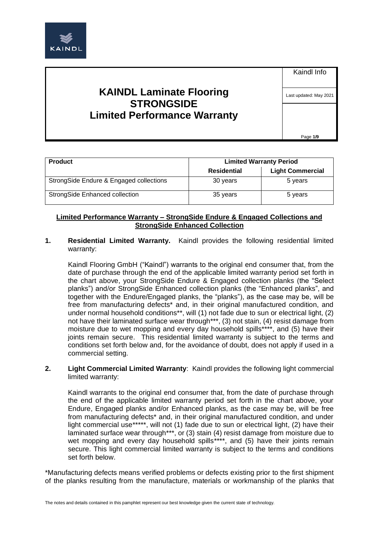

**KAINDL Laminate Flooring STRONGSIDE Limited Performance Warranty** Kaindl Info

Last updated: May 2021

Page **1/9**

| <b>Product</b>                          | <b>Limited Warranty Period</b> |                         |
|-----------------------------------------|--------------------------------|-------------------------|
|                                         | Residential                    | <b>Light Commercial</b> |
| StrongSide Endure & Engaged collections | 30 years                       | 5 years                 |
| <b>StrongSide Enhanced collection</b>   | 35 years                       | 5 years                 |

# **Limited Performance Warranty – StrongSide Endure & Engaged Collections and StrongSide Enhanced Collection**

**1. Residential Limited Warranty.** Kaindl provides the following residential limited warranty:

Kaindl Flooring GmbH ("Kaindl") warrants to the original end consumer that, from the date of purchase through the end of the applicable limited warranty period set forth in the chart above, your StrongSide Endure & Engaged collection planks (the "Select planks") and/or StrongSide Enhanced collection planks (the "Enhanced planks", and together with the Endure/Engaged planks, the "planks"), as the case may be, will be free from manufacturing defects\* and, in their original manufactured condition, and under normal household conditions\*\*, will (1) not fade due to sun or electrical light, (2) not have their laminated surface wear through\*\*\*, (3) not stain, (4) resist damage from moisture due to wet mopping and every day household spills\*\*\*\*, and (5) have their joints remain secure. This residential limited warranty is subject to the terms and conditions set forth below and, for the avoidance of doubt, does not apply if used in a commercial setting.

**2. Light Commercial Limited Warranty**: Kaindl provides the following light commercial limited warranty:

Kaindl warrants to the original end consumer that, from the date of purchase through the end of the applicable limited warranty period set forth in the chart above, your Endure, Engaged planks and/or Enhanced planks, as the case may be, will be free from manufacturing defects\* and, in their original manufactured condition, and under light commercial use\*\*\*\*\*, will not (1) fade due to sun or electrical light, (2) have their laminated surface wear through\*\*\*, or (3) stain (4) resist damage from moisture due to wet mopping and every day household spills\*\*\*\*, and (5) have their joints remain secure. This light commercial limited warranty is subject to the terms and conditions set forth below.

\*Manufacturing defects means verified problems or defects existing prior to the first shipment of the planks resulting from the manufacture, materials or workmanship of the planks that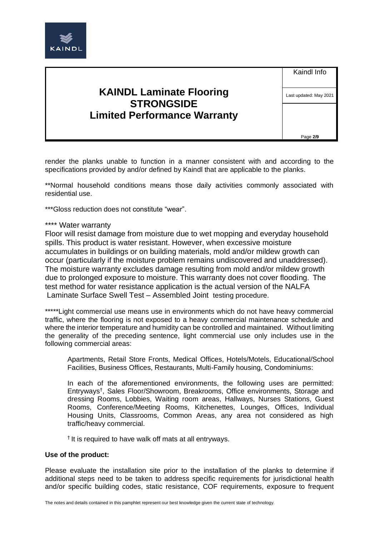

**KAINDL Laminate Flooring STRONGSIDE Limited Performance Warranty** Kaindl Info

Last updated: May 2021

Page **2/9**

render the planks unable to function in a manner consistent with and according to the specifications provided by and/or defined by Kaindl that are applicable to the planks.

\*\*Normal household conditions means those daily activities commonly associated with residential use.

\*\*\*Gloss reduction does not constitute "wear".

#### \*\*\*\* Water warranty

Floor will resist damage from moisture due to wet mopping and everyday household spills. This product is water resistant. However, when excessive moisture accumulates in buildings or on building materials, mold and/or mildew growth can occur (particularly if the moisture problem remains undiscovered and unaddressed). The moisture warranty excludes damage resulting from mold and/or mildew growth due to prolonged exposure to moisture. This warranty does not cover flooding. The test method for water resistance application is the actual version of the NALFA Laminate Surface Swell Test – Assembled Joint testing procedure.

\*\*\*\*\*Light commercial use means use in environments which do not have heavy commercial traffic, where the flooring is not exposed to a heavy commercial maintenance schedule and where the interior temperature and humidity can be controlled and maintained. Without limiting the generality of the preceding sentence, light commercial use only includes use in the following commercial areas:

Apartments, Retail Store Fronts, Medical Offices, Hotels/Motels, Educational/School Facilities, Business Offices, Restaurants, Multi-Family housing, Condominiums:

In each of the aforementioned environments, the following uses are permitted: Entryways† , Sales Floor/Showroom, Breakrooms, Office environments, Storage and dressing Rooms, Lobbies, Waiting room areas, Hallways, Nurses Stations, Guest Rooms, Conference/Meeting Rooms, Kitchenettes, Lounges, Offices, Individual Housing Units, Classrooms, Common Areas, any area not considered as high traffic/heavy commercial.

<sup>†</sup> It is required to have walk off mats at all entryways.

#### **Use of the product:**

Please evaluate the installation site prior to the installation of the planks to determine if additional steps need to be taken to address specific requirements for jurisdictional health and/or specific building codes, static resistance, COF requirements, exposure to frequent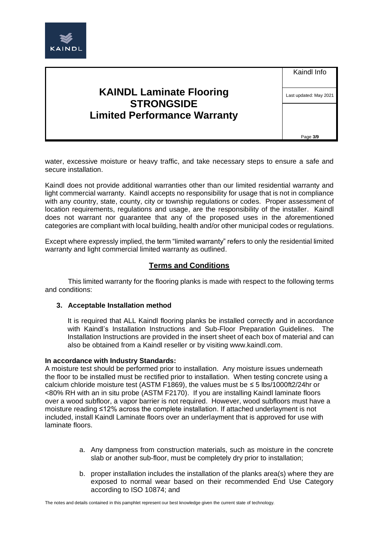

| <b>KAINDL Laminate Flooring</b>     |
|-------------------------------------|
| <b>STRONGSIDE</b>                   |
| <b>Limited Performance Warranty</b> |

Last updated: May 2021

Page **3/9**

water, excessive moisture or heavy traffic, and take necessary steps to ensure a safe and secure installation.

Kaindl does not provide additional warranties other than our limited residential warranty and light commercial warranty. Kaindl accepts no responsibility for usage that is not in compliance with any country, state, county, city or township regulations or codes. Proper assessment of location requirements, regulations and usage, are the responsibility of the installer. Kaindl does not warrant nor guarantee that any of the proposed uses in the aforementioned categories are compliant with local building, health and/or other municipal codes or regulations.

Except where expressly implied, the term "limited warranty" refers to only the residential limited warranty and light commercial limited warranty as outlined.

## **Terms and Conditions**

This limited warranty for the flooring planks is made with respect to the following terms and conditions:

### **3. Acceptable Installation method**

It is required that ALL Kaindl flooring planks be installed correctly and in accordance with Kaindl's Installation Instructions and Sub-Floor Preparation Guidelines. The Installation Instructions are provided in the insert sheet of each box of material and can also be obtained from a Kaindl reseller or by visiting www.kaindl.com.

#### **In accordance with Industry Standards:**

A moisture test should be performed prior to installation. Any moisture issues underneath the floor to be installed must be rectified prior to installation. When testing concrete using a calcium chloride moisture test (ASTM F1869), the values must be  $\leq$  5 lbs/1000ft2/24hr or <80% RH with an in situ probe (ASTM F2170). If you are installing Kaindl laminate floors over a wood subfloor, a vapor barrier is not required. However, wood subfloors must have a moisture reading ≤12% across the complete installation. If attached underlayment is not included, install Kaindl Laminate floors over an underlayment that is approved for use with laminate floors.

- a. Any dampness from construction materials, such as moisture in the concrete slab or another sub-floor, must be completely dry prior to installation;
- b. proper installation includes the installation of the planks area(s) where they are exposed to normal wear based on their recommended End Use Category according to ISO 10874; and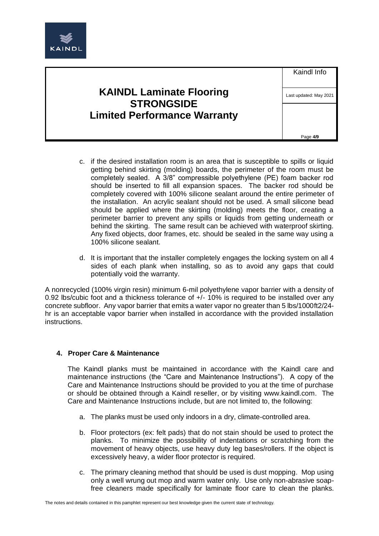

| <b>KAINDL Laminate Flooring</b>     |
|-------------------------------------|
| <b>STRONGSIDE</b>                   |
| <b>Limited Performance Warranty</b> |

Last updated: May 2021

Page **4/9**

- c. if the desired installation room is an area that is susceptible to spills or liquid getting behind skirting (molding) boards, the perimeter of the room must be completely sealed. A 3/8" compressible polyethylene (PE) foam backer rod should be inserted to fill all expansion spaces. The backer rod should be completely covered with 100% silicone sealant around the entire perimeter of the installation. An acrylic sealant should not be used. A small silicone bead should be applied where the skirting (molding) meets the floor, creating a perimeter barrier to prevent any spills or liquids from getting underneath or behind the skirting. The same result can be achieved with waterproof skirting. Any fixed objects, door frames, etc. should be sealed in the same way using a 100% silicone sealant.
- d. It is important that the installer completely engages the locking system on all 4 sides of each plank when installing, so as to avoid any gaps that could potentially void the warranty.

A nonrecycled (100% virgin resin) minimum 6-mil polyethylene vapor barrier with a density of 0.92 lbs/cubic foot and a thickness tolerance of  $+/- 10\%$  is required to be installed over any concrete subfloor. Any vapor barrier that emits a water vapor no greater than 5 lbs/1000ft2/24 hr is an acceptable vapor barrier when installed in accordance with the provided installation instructions.

# **4. Proper Care & Maintenance**

The Kaindl planks must be maintained in accordance with the Kaindl care and maintenance instructions (the "Care and Maintenance Instructions"). A copy of the Care and Maintenance Instructions should be provided to you at the time of purchase or should be obtained through a Kaindl reseller, or by visiting www.kaindl.com. The Care and Maintenance Instructions include, but are not limited to, the following:

- a. The planks must be used only indoors in a dry, climate-controlled area.
- b. Floor protectors (ex: felt pads) that do not stain should be used to protect the planks. To minimize the possibility of indentations or scratching from the movement of heavy objects, use heavy duty leg bases/rollers. If the object is excessively heavy, a wider floor protector is required.
- c. The primary cleaning method that should be used is dust mopping. Mop using only a well wrung out mop and warm water only. Use only non-abrasive soapfree cleaners made specifically for laminate floor care to clean the planks.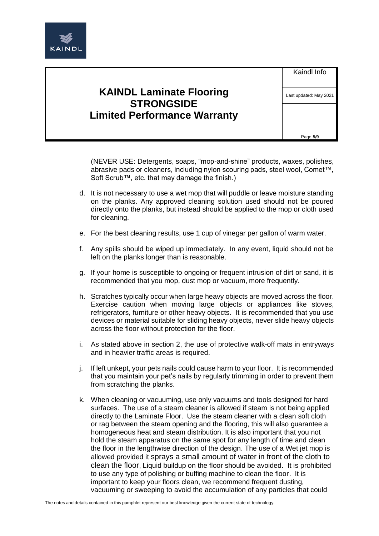

(NEVER USE: Detergents, soaps, "mop-and-shine" products, waxes, polishes, abrasive pads or cleaners, including nylon scouring pads, steel wool, Comet™, Soft Scrub™, etc. that may damage the finish.)

- d. It is not necessary to use a wet mop that will puddle or leave moisture standing on the planks. Any approved cleaning solution used should not be poured directly onto the planks, but instead should be applied to the mop or cloth used for cleaning.
- e. For the best cleaning results, use 1 cup of vinegar per gallon of warm water.
- f. Any spills should be wiped up immediately. In any event, liquid should not be left on the planks longer than is reasonable.
- g. If your home is susceptible to ongoing or frequent intrusion of dirt or sand, it is recommended that you mop, dust mop or vacuum, more frequently.
- h. Scratches typically occur when large heavy objects are moved across the floor. Exercise caution when moving large objects or appliances like stoves, refrigerators, furniture or other heavy objects. It is recommended that you use devices or material suitable for sliding heavy objects, never slide heavy objects across the floor without protection for the floor.
- i. As stated above in section 2, the use of protective walk-off mats in entryways and in heavier traffic areas is required.
- j. If left unkept, your pets nails could cause harm to your floor. It is recommended that you maintain your pet's nails by regularly trimming in order to prevent them from scratching the planks.
- k. When cleaning or vacuuming, use only vacuums and tools designed for hard surfaces. The use of a steam cleaner is allowed if steam is not being applied directly to the Laminate Floor. Use the steam cleaner with a clean soft cloth or rag between the steam opening and the flooring, this will also guarantee a homogeneous heat and steam distribution. It is also important that you not hold the steam apparatus on the same spot for any length of time and clean the floor in the lengthwise direction of the design. The use of a Wet jet mop is allowed provided it sprays a small amount of water in front of the cloth to clean the floor, Liquid buildup on the floor should be avoided. It is prohibited to use any type of polishing or buffing machine to clean the floor. It is important to keep your floors clean, we recommend frequent dusting, vacuuming or sweeping to avoid the accumulation of any particles that could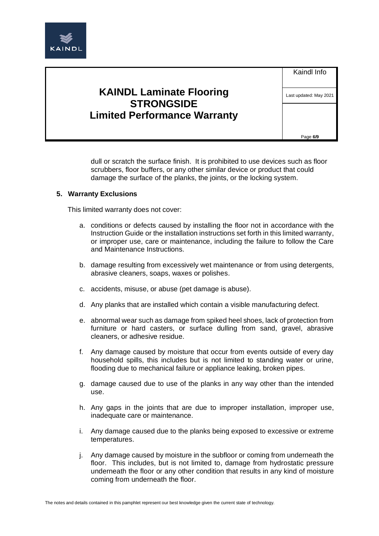

| <b>KAINDL Laminate Flooring</b>     |
|-------------------------------------|
| <b>STRONGSIDE</b>                   |
| <b>Limited Performance Warranty</b> |

Last updated: May 2021

Page **6/9**

dull or scratch the surface finish. It is prohibited to use devices such as floor scrubbers, floor buffers, or any other similar device or product that could damage the surface of the planks, the joints, or the locking system.

### **5. Warranty Exclusions**

This limited warranty does not cover:

- a. conditions or defects caused by installing the floor not in accordance with the Instruction Guide or the installation instructions set forth in this limited warranty, or improper use, care or maintenance, including the failure to follow the Care and Maintenance Instructions.
- b. damage resulting from excessively wet maintenance or from using detergents, abrasive cleaners, soaps, waxes or polishes.
- c. accidents, misuse, or abuse (pet damage is abuse).
- d. Any planks that are installed which contain a visible manufacturing defect.
- e. abnormal wear such as damage from spiked heel shoes, lack of protection from furniture or hard casters, or surface dulling from sand, gravel, abrasive cleaners, or adhesive residue.
- f. Any damage caused by moisture that occur from events outside of every day household spills, this includes but is not limited to standing water or urine, flooding due to mechanical failure or appliance leaking, broken pipes.
- g. damage caused due to use of the planks in any way other than the intended use.
- h. Any gaps in the joints that are due to improper installation, improper use, inadequate care or maintenance.
- i. Any damage caused due to the planks being exposed to excessive or extreme temperatures.
- j. Any damage caused by moisture in the subfloor or coming from underneath the floor. This includes, but is not limited to, damage from hydrostatic pressure underneath the floor or any other condition that results in any kind of moisture coming from underneath the floor.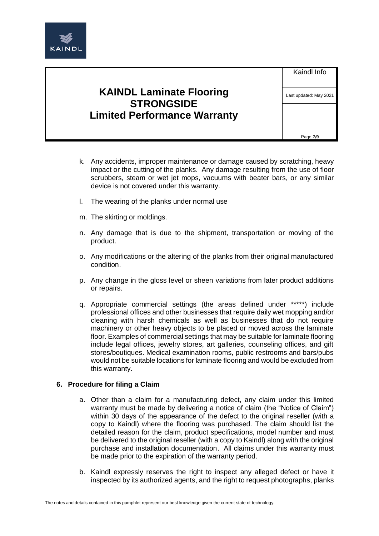

| <b>KAINDL Laminate Flooring</b>     |
|-------------------------------------|
| <b>STRONGSIDE</b>                   |
| <b>Limited Performance Warranty</b> |

Last updated: May 2021

Page **7/9**

- k. Any accidents, improper maintenance or damage caused by scratching, heavy impact or the cutting of the planks. Any damage resulting from the use of floor scrubbers, steam or wet jet mops, vacuums with beater bars, or any similar device is not covered under this warranty.
- l. The wearing of the planks under normal use
- m. The skirting or moldings.
- n. Any damage that is due to the shipment, transportation or moving of the product.
- o. Any modifications or the altering of the planks from their original manufactured condition.
- p. Any change in the gloss level or sheen variations from later product additions or repairs.
- q. Appropriate commercial settings (the areas defined under \*\*\*\*\*) include professional offices and other businesses that require daily wet mopping and/or cleaning with harsh chemicals as well as businesses that do not require machinery or other heavy objects to be placed or moved across the laminate floor. Examples of commercial settings that may be suitable for laminate flooring include legal offices, jewelry stores, art galleries, counseling offices, and gift stores/boutiques. Medical examination rooms, public restrooms and bars/pubs would not be suitable locations for laminate flooring and would be excluded from this warranty.

### **6. Procedure for filing a Claim**

- a. Other than a claim for a manufacturing defect, any claim under this limited warranty must be made by delivering a notice of claim (the "Notice of Claim") within 30 days of the appearance of the defect to the original reseller (with a copy to Kaindl) where the flooring was purchased. The claim should list the detailed reason for the claim, product specifications, model number and must be delivered to the original reseller (with a copy to Kaindl) along with the original purchase and installation documentation. All claims under this warranty must be made prior to the expiration of the warranty period.
- b. Kaindl expressly reserves the right to inspect any alleged defect or have it inspected by its authorized agents, and the right to request photographs, planks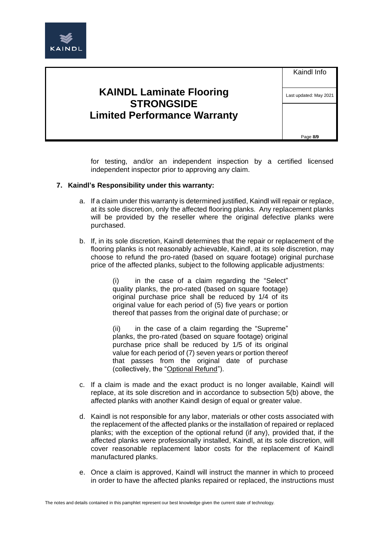

for testing, and/or an independent inspection by a certified licensed independent inspector prior to approving any claim.

### **7. Kaindl's Responsibility under this warranty:**

- a. If a claim under this warranty is determined justified, Kaindl will repair or replace, at its sole discretion, only the affected flooring planks. Any replacement planks will be provided by the reseller where the original defective planks were purchased.
- b. If, in its sole discretion, Kaindl determines that the repair or replacement of the flooring planks is not reasonably achievable, Kaindl, at its sole discretion, may choose to refund the pro-rated (based on square footage) original purchase price of the affected planks, subject to the following applicable adjustments:

(i) in the case of a claim regarding the "Select" quality planks, the pro-rated (based on square footage) original purchase price shall be reduced by 1/4 of its original value for each period of (5) five years or portion thereof that passes from the original date of purchase; or

(ii) in the case of a claim regarding the "Supreme" planks, the pro-rated (based on square footage) original purchase price shall be reduced by 1/5 of its original value for each period of (7) seven years or portion thereof that passes from the original date of purchase (collectively, the "Optional Refund").

- c. If a claim is made and the exact product is no longer available, Kaindl will replace, at its sole discretion and in accordance to subsection 5(b) above, the affected planks with another Kaindl design of equal or greater value.
- d. Kaindl is not responsible for any labor, materials or other costs associated with the replacement of the affected planks or the installation of repaired or replaced planks; with the exception of the optional refund (if any), provided that, if the affected planks were professionally installed, Kaindl, at its sole discretion, will cover reasonable replacement labor costs for the replacement of Kaindl manufactured planks.
- e. Once a claim is approved, Kaindl will instruct the manner in which to proceed in order to have the affected planks repaired or replaced, the instructions must